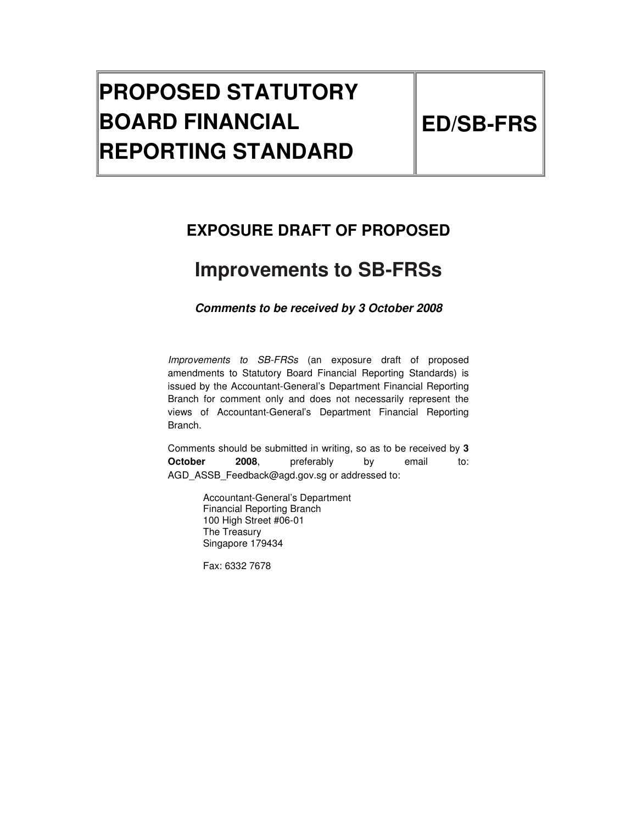# **PROPOSED STATUTORY BOARD FINANCIAL REPORTING STANDARD**

# **ED/SB-FRS**

# **EXPOSURE DRAFT OF PROPOSED**

# **Improvements to SB-FRSs**

#### **Comments to be received by 3 October 2008**

Improvements to SB-FRSs (an exposure draft of proposed amendments to Statutory Board Financial Reporting Standards) is issued by the Accountant-General's Department Financial Reporting Branch for comment only and does not necessarily represent the views of Accountant-General's Department Financial Reporting Branch.

Comments should be submitted in writing, so as to be received by **3 October 2008**, preferably by email to: AGD\_ASSB\_Feedback@agd.gov.sg or addressed to:

> Accountant-General's Department Financial Reporting Branch 100 High Street #06-01 The Treasury Singapore 179434

Fax: 6332 7678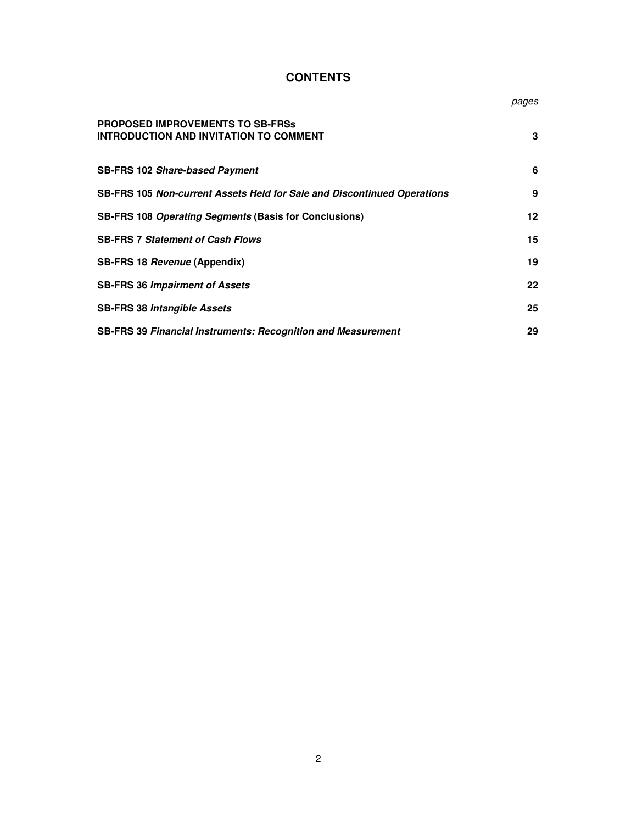### **CONTENTS**

| <b>PROPOSED IMPROVEMENTS TO SB-FRSs</b><br><b>INTRODUCTION AND INVITATION TO COMMENT</b> | 3       |
|------------------------------------------------------------------------------------------|---------|
| <b>SB-FRS 102 Share-based Payment</b>                                                    | 6       |
| SB-FRS 105 Non-current Assets Held for Sale and Discontinued Operations                  | 9       |
| <b>SB-FRS 108 Operating Segments (Basis for Conclusions)</b>                             | $12 \,$ |
| <b>SB-FRS 7 Statement of Cash Flows</b>                                                  | 15      |
| SB-FRS 18 Revenue (Appendix)                                                             | 19      |
| <b>SB-FRS 36 Impairment of Assets</b>                                                    | 22      |
| <b>SB-FRS 38 Intangible Assets</b>                                                       | 25      |
| <b>SB-FRS 39 Financial Instruments: Recognition and Measurement</b>                      | 29      |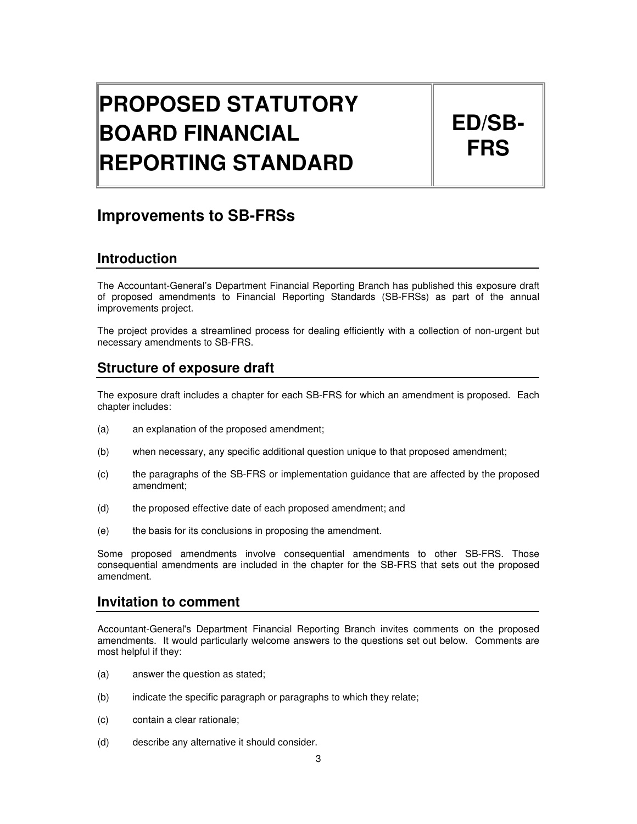# **PROPOSED STATUTORY BOARD FINANCIAL REPORTING STANDARD**

**ED/SB-FRS** 

# **Improvements to SB-FRSs**

## **Introduction**

The Accountant-General's Department Financial Reporting Branch has published this exposure draft of proposed amendments to Financial Reporting Standards (SB-FRSs) as part of the annual improvements project.

The project provides a streamlined process for dealing efficiently with a collection of non-urgent but necessary amendments to SB-FRS.

## **Structure of exposure draft**

The exposure draft includes a chapter for each SB-FRS for which an amendment is proposed. Each chapter includes:

- (a) an explanation of the proposed amendment;
- (b) when necessary, any specific additional question unique to that proposed amendment;
- (c) the paragraphs of the SB-FRS or implementation guidance that are affected by the proposed amendment;
- (d) the proposed effective date of each proposed amendment; and
- (e) the basis for its conclusions in proposing the amendment.

Some proposed amendments involve consequential amendments to other SB-FRS. Those consequential amendments are included in the chapter for the SB-FRS that sets out the proposed amendment.

### **Invitation to comment**

Accountant-General's Department Financial Reporting Branch invites comments on the proposed amendments. It would particularly welcome answers to the questions set out below. Comments are most helpful if they:

- (a) answer the question as stated;
- (b) indicate the specific paragraph or paragraphs to which they relate;
- (c) contain a clear rationale;
- (d) describe any alternative it should consider.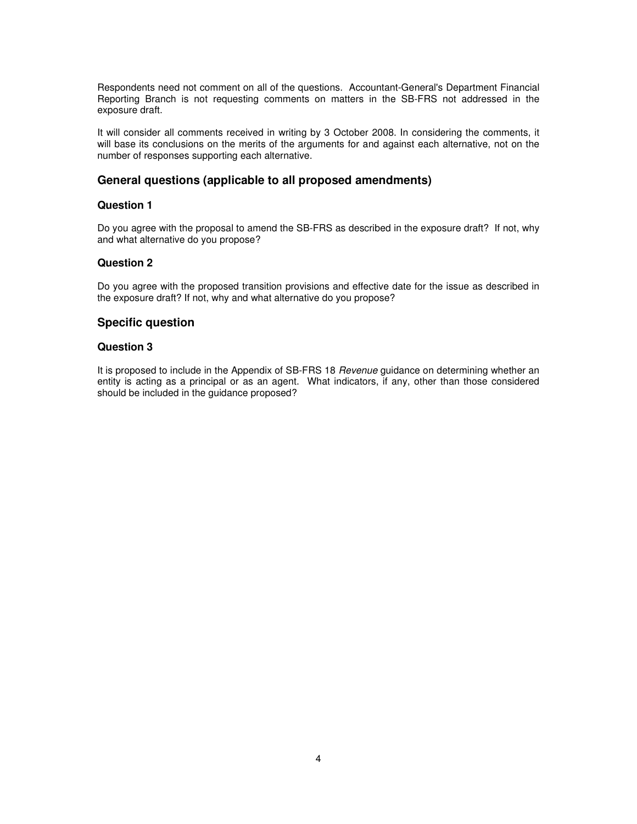Respondents need not comment on all of the questions. Accountant-General's Department Financial Reporting Branch is not requesting comments on matters in the SB-FRS not addressed in the exposure draft.

It will consider all comments received in writing by 3 October 2008. In considering the comments, it will base its conclusions on the merits of the arguments for and against each alternative, not on the number of responses supporting each alternative.

#### **General questions (applicable to all proposed amendments)**

#### **Question 1**

Do you agree with the proposal to amend the SB-FRS as described in the exposure draft? If not, why and what alternative do you propose?

#### **Question 2**

Do you agree with the proposed transition provisions and effective date for the issue as described in the exposure draft? If not, why and what alternative do you propose?

#### **Specific question**

#### **Question 3**

It is proposed to include in the Appendix of SB-FRS 18 *Revenue* guidance on determining whether an entity is acting as a principal or as an agent. What indicators, if any, other than those considered should be included in the guidance proposed?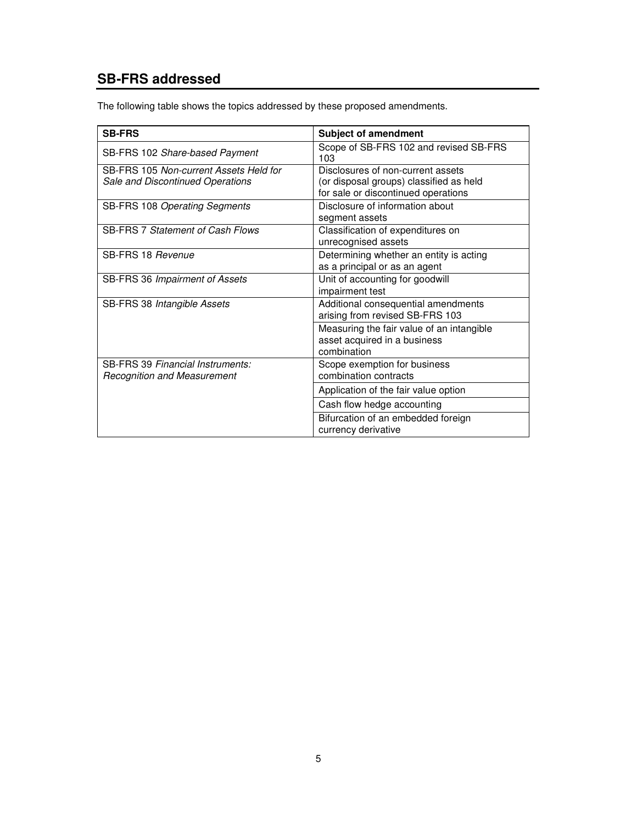# **SB-FRS addressed**

The following table shows the topics addressed by these proposed amendments.

| <b>SB-FRS</b>                           | <b>Subject of amendment</b>                   |
|-----------------------------------------|-----------------------------------------------|
| SB-FRS 102 Share-based Payment          | Scope of SB-FRS 102 and revised SB-FRS<br>103 |
| SB-FRS 105 Non-current Assets Held for  | Disclosures of non-current assets             |
| Sale and Discontinued Operations        | (or disposal groups) classified as held       |
|                                         | for sale or discontinued operations           |
| SB-FRS 108 Operating Segments           | Disclosure of information about               |
|                                         | segment assets                                |
| <b>SB-FRS 7 Statement of Cash Flows</b> | Classification of expenditures on             |
|                                         | unrecognised assets                           |
| SB-FRS 18 Revenue                       | Determining whether an entity is acting       |
|                                         | as a principal or as an agent                 |
| SB-FRS 36 Impairment of Assets          | Unit of accounting for goodwill               |
|                                         | impairment test                               |
| SB-FRS 38 Intangible Assets             | Additional consequential amendments           |
|                                         | arising from revised SB-FRS 103               |
|                                         | Measuring the fair value of an intangible     |
|                                         | asset acquired in a business                  |
|                                         | combination                                   |
| SB-FRS 39 Financial Instruments:        | Scope exemption for business                  |
| <b>Recognition and Measurement</b>      | combination contracts                         |
|                                         | Application of the fair value option          |
|                                         | Cash flow hedge accounting                    |
|                                         | Bifurcation of an embedded foreign            |
|                                         | currency derivative                           |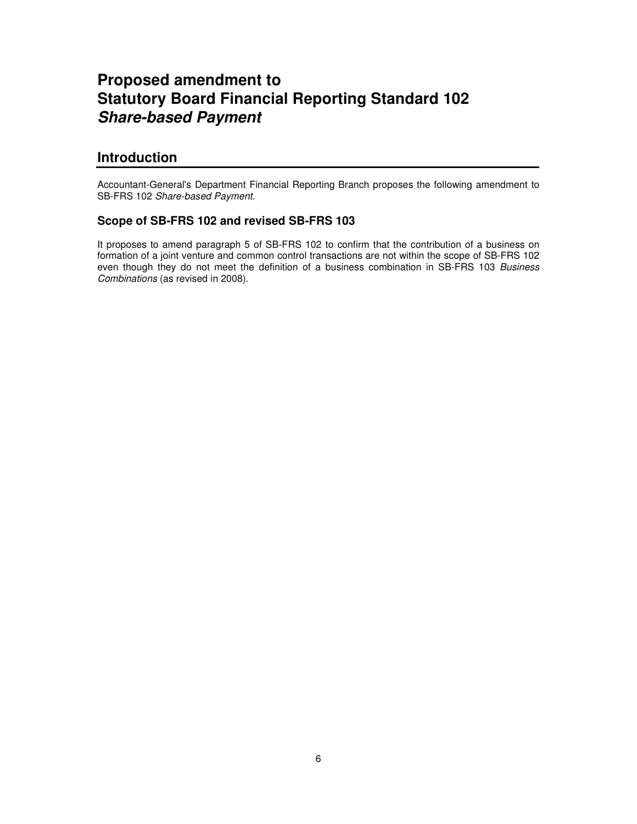# **Proposed amendment to Statutory Board Financial Reporting Standard 102 Share-based Payment**

#### **Introduction**

Accountant-General's Department Financial Reporting Branch proposes the following amendment to SB-FRS 102 Share-based Payment.

#### **Scope of SB-FRS 102 and revised SB-FRS 103**

It proposes to amend paragraph 5 of SB-FRS 102 to confirm that the contribution of a business on formation of a joint venture and common control transactions are not within the scope of SB-FRS 102 even though they do not meet the definition of a business combination in SB-FRS 103 Business Combinations (as revised in 2008).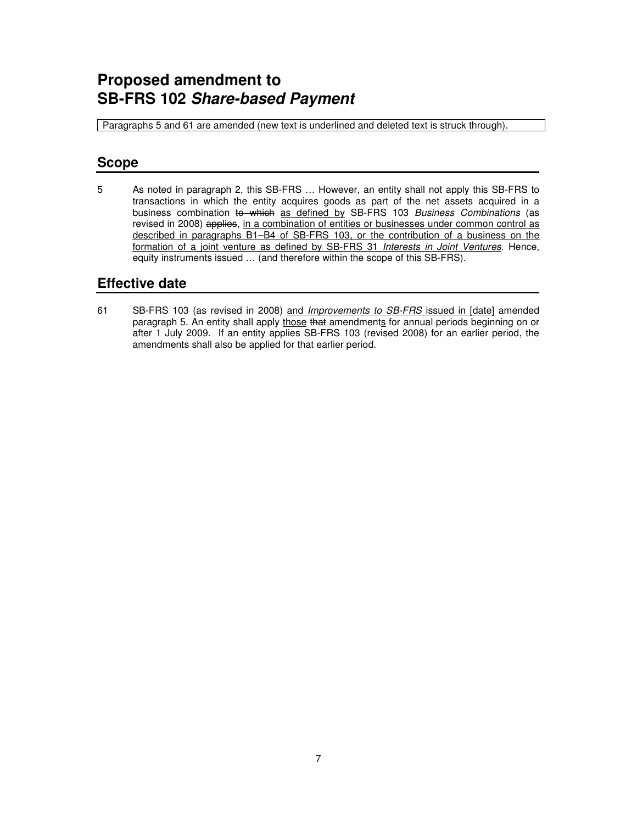# **Proposed amendment to SB-FRS 102 Share-based Payment**

Paragraphs 5 and 61 are amended (new text is underlined and deleted text is struck through).

#### **Scope**

5 As noted in paragraph 2, this SB-FRS … However, an entity shall not apply this SB-FRS to transactions in which the entity acquires goods as part of the net assets acquired in a business combination to which as defined by SB-FRS 103 Business Combinations (as revised in 2008) applies, in a combination of entities or businesses under common control as described in paragraphs B1–B4 of SB-FRS 103, or the contribution of a business on the formation of a joint venture as defined by SB-FRS 31 Interests in Joint Ventures. Hence, equity instruments issued … (and therefore within the scope of this SB-FRS).

## **Effective date**

61 SB-FRS 103 (as revised in 2008) and Improvements to SB-FRS issued in [date] amended paragraph 5. An entity shall apply those that amendments for annual periods beginning on or after 1 July 2009. If an entity applies SB-FRS 103 (revised 2008) for an earlier period, the amendments shall also be applied for that earlier period.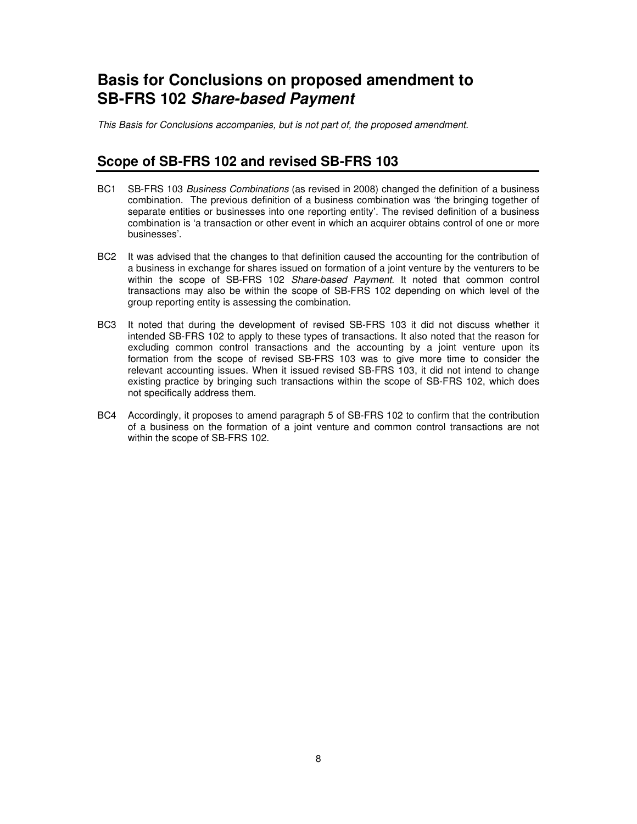# **Basis for Conclusions on proposed amendment to SB-FRS 102 Share-based Payment**

This Basis for Conclusions accompanies, but is not part of, the proposed amendment.

### **Scope of SB-FRS 102 and revised SB-FRS 103**

- BC1 SB-FRS 103 Business Combinations (as revised in 2008) changed the definition of a business combination. The previous definition of a business combination was 'the bringing together of separate entities or businesses into one reporting entity'. The revised definition of a business combination is 'a transaction or other event in which an acquirer obtains control of one or more businesses'.
- BC2 It was advised that the changes to that definition caused the accounting for the contribution of a business in exchange for shares issued on formation of a joint venture by the venturers to be within the scope of SB-FRS 102 Share-based Payment. It noted that common control transactions may also be within the scope of SB-FRS 102 depending on which level of the group reporting entity is assessing the combination.
- BC3 It noted that during the development of revised SB-FRS 103 it did not discuss whether it intended SB-FRS 102 to apply to these types of transactions. It also noted that the reason for excluding common control transactions and the accounting by a joint venture upon its formation from the scope of revised SB-FRS 103 was to give more time to consider the relevant accounting issues. When it issued revised SB-FRS 103, it did not intend to change existing practice by bringing such transactions within the scope of SB-FRS 102, which does not specifically address them.
- BC4 Accordingly, it proposes to amend paragraph 5 of SB-FRS 102 to confirm that the contribution of a business on the formation of a joint venture and common control transactions are not within the scope of SB-FRS 102.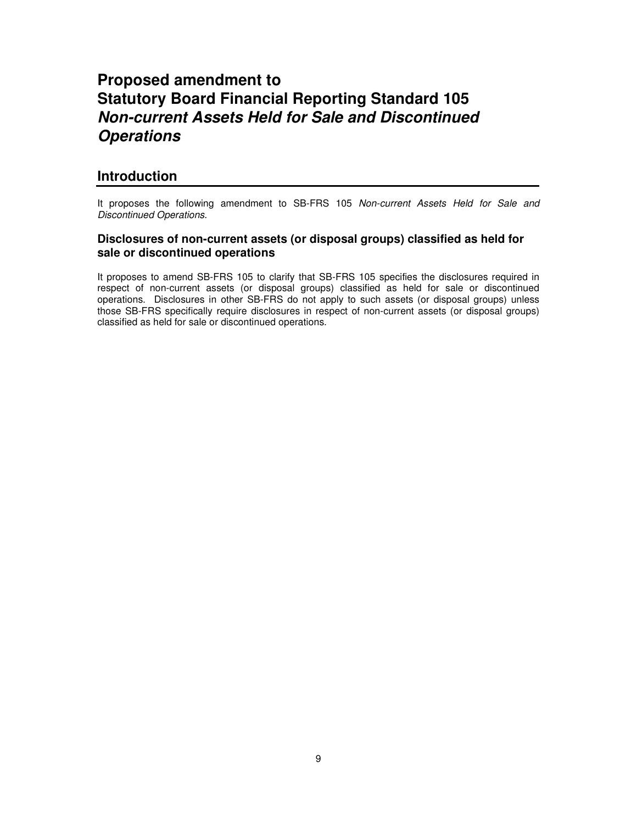# **Proposed amendment to Statutory Board Financial Reporting Standard 105 Non-current Assets Held for Sale and Discontinued Operations**

### **Introduction**

It proposes the following amendment to SB-FRS 105 Non-current Assets Held for Sale and Discontinued Operations.

#### **Disclosures of non-current assets (or disposal groups) classified as held for sale or discontinued operations**

It proposes to amend SB-FRS 105 to clarify that SB-FRS 105 specifies the disclosures required in respect of non-current assets (or disposal groups) classified as held for sale or discontinued operations. Disclosures in other SB-FRS do not apply to such assets (or disposal groups) unless those SB-FRS specifically require disclosures in respect of non-current assets (or disposal groups) classified as held for sale or discontinued operations.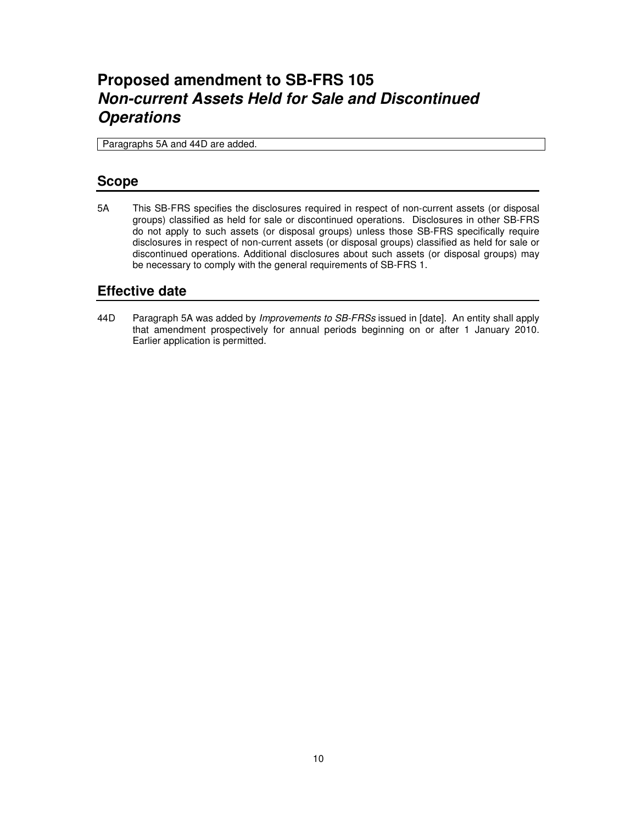# **Proposed amendment to SB-FRS 105 Non-current Assets Held for Sale and Discontinued Operations**

Paragraphs 5A and 44D are added.

### **Scope**

5A This SB-FRS specifies the disclosures required in respect of non-current assets (or disposal groups) classified as held for sale or discontinued operations. Disclosures in other SB-FRS do not apply to such assets (or disposal groups) unless those SB-FRS specifically require disclosures in respect of non-current assets (or disposal groups) classified as held for sale or discontinued operations. Additional disclosures about such assets (or disposal groups) may be necessary to comply with the general requirements of SB-FRS 1.

# **Effective date**

44D Paragraph 5A was added by *Improvements to SB-FRSs* issued in [date]. An entity shall apply that amendment prospectively for annual periods beginning on or after 1 January 2010. Earlier application is permitted.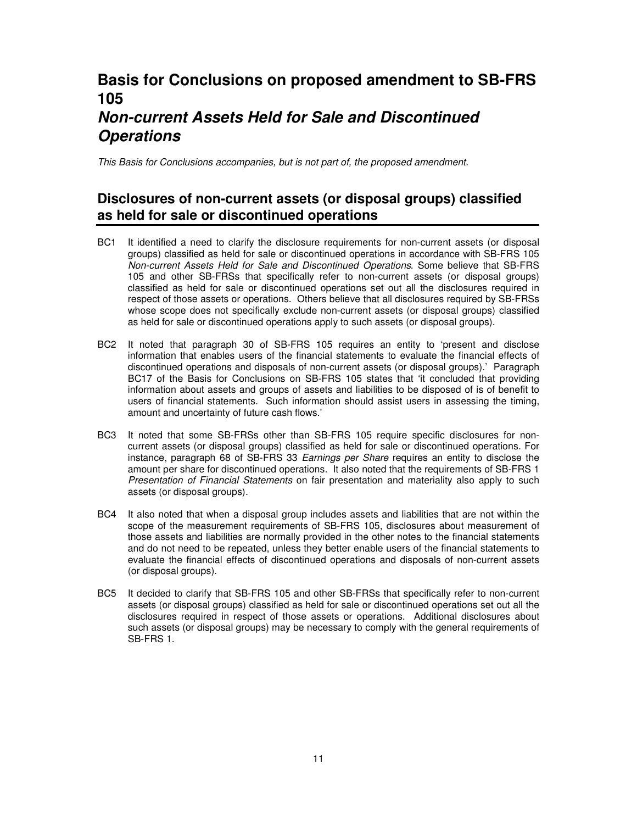# **Basis for Conclusions on proposed amendment to SB-FRS 105 Non-current Assets Held for Sale and Discontinued Operations**

This Basis for Conclusions accompanies, but is not part of, the proposed amendment.

## **Disclosures of non-current assets (or disposal groups) classified as held for sale or discontinued operations**

- BC1 It identified a need to clarify the disclosure requirements for non-current assets (or disposal groups) classified as held for sale or discontinued operations in accordance with SB-FRS 105 Non-current Assets Held for Sale and Discontinued Operations. Some believe that SB-FRS 105 and other SB-FRSs that specifically refer to non-current assets (or disposal groups) classified as held for sale or discontinued operations set out all the disclosures required in respect of those assets or operations. Others believe that all disclosures required by SB-FRSs whose scope does not specifically exclude non-current assets (or disposal groups) classified as held for sale or discontinued operations apply to such assets (or disposal groups).
- BC2 It noted that paragraph 30 of SB-FRS 105 requires an entity to 'present and disclose information that enables users of the financial statements to evaluate the financial effects of discontinued operations and disposals of non-current assets (or disposal groups).' Paragraph BC17 of the Basis for Conclusions on SB-FRS 105 states that 'it concluded that providing information about assets and groups of assets and liabilities to be disposed of is of benefit to users of financial statements. Such information should assist users in assessing the timing, amount and uncertainty of future cash flows.'
- BC3 It noted that some SB-FRSs other than SB-FRS 105 require specific disclosures for noncurrent assets (or disposal groups) classified as held for sale or discontinued operations. For instance, paragraph 68 of SB-FRS 33 Earnings per Share requires an entity to disclose the amount per share for discontinued operations. It also noted that the requirements of SB-FRS 1 Presentation of Financial Statements on fair presentation and materiality also apply to such assets (or disposal groups).
- BC4 It also noted that when a disposal group includes assets and liabilities that are not within the scope of the measurement requirements of SB-FRS 105, disclosures about measurement of those assets and liabilities are normally provided in the other notes to the financial statements and do not need to be repeated, unless they better enable users of the financial statements to evaluate the financial effects of discontinued operations and disposals of non-current assets (or disposal groups).
- BC5 It decided to clarify that SB-FRS 105 and other SB-FRSs that specifically refer to non-current assets (or disposal groups) classified as held for sale or discontinued operations set out all the disclosures required in respect of those assets or operations. Additional disclosures about such assets (or disposal groups) may be necessary to comply with the general requirements of SB-FRS 1.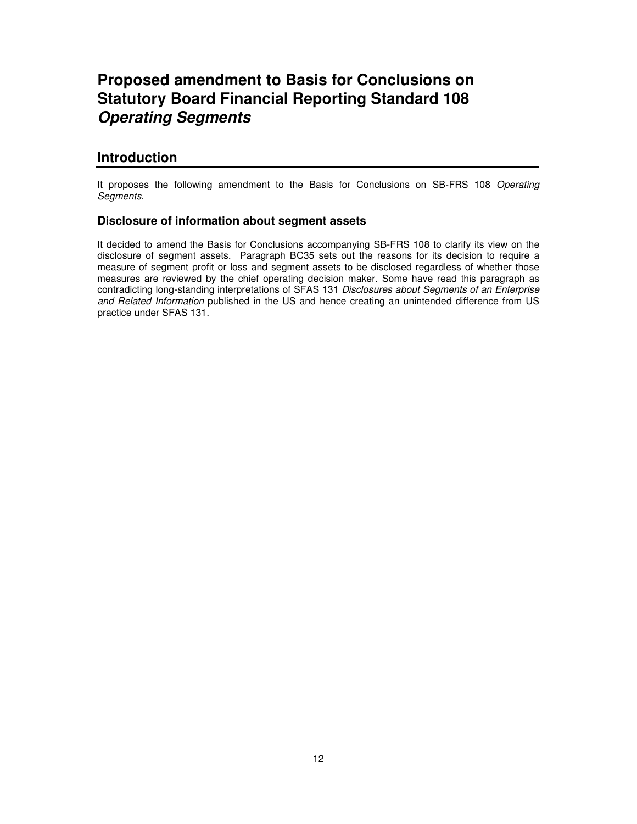# **Proposed amendment to Basis for Conclusions on Statutory Board Financial Reporting Standard 108 Operating Segments**

### **Introduction**

It proposes the following amendment to the Basis for Conclusions on SB-FRS 108 Operating Segments.

#### **Disclosure of information about segment assets**

It decided to amend the Basis for Conclusions accompanying SB-FRS 108 to clarify its view on the disclosure of segment assets. Paragraph BC35 sets out the reasons for its decision to require a measure of segment profit or loss and segment assets to be disclosed regardless of whether those measures are reviewed by the chief operating decision maker. Some have read this paragraph as contradicting long-standing interpretations of SFAS 131 Disclosures about Segments of an Enterprise and Related Information published in the US and hence creating an unintended difference from US practice under SFAS 131.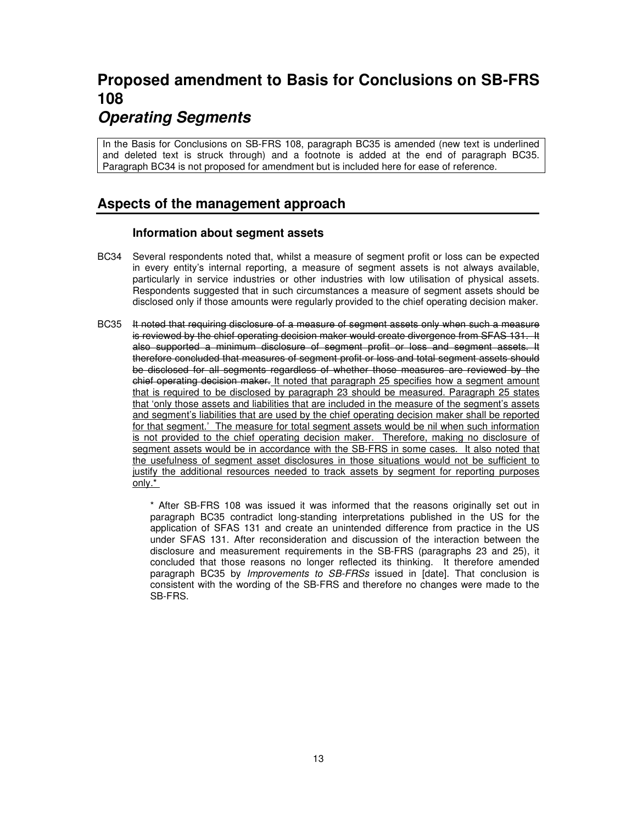# **Proposed amendment to Basis for Conclusions on SB-FRS 108**

# **Operating Segments**

In the Basis for Conclusions on SB-FRS 108, paragraph BC35 is amended (new text is underlined and deleted text is struck through) and a footnote is added at the end of paragraph BC35. Paragraph BC34 is not proposed for amendment but is included here for ease of reference.

## **Aspects of the management approach**

#### **Information about segment assets**

- BC34 Several respondents noted that, whilst a measure of segment profit or loss can be expected in every entity's internal reporting, a measure of segment assets is not always available, particularly in service industries or other industries with low utilisation of physical assets. Respondents suggested that in such circumstances a measure of segment assets should be disclosed only if those amounts were regularly provided to the chief operating decision maker.
- BC35 It noted that requiring disclosure of a measure of segment assets only when such a measure is reviewed by the chief operating decision maker would create divergence from SFAS 131. It also supported a minimum disclosure of segment profit or loss and segment assets. It therefore concluded that measures of segment profit or loss and total segment assets should be disclosed for all segments regardless of whether those measures are reviewed by the chief operating decision maker. It noted that paragraph 25 specifies how a segment amount that is required to be disclosed by paragraph 23 should be measured. Paragraph 25 states that 'only those assets and liabilities that are included in the measure of the segment's assets and segment's liabilities that are used by the chief operating decision maker shall be reported for that segment.' The measure for total segment assets would be nil when such information is not provided to the chief operating decision maker. Therefore, making no disclosure of segment assets would be in accordance with the SB-FRS in some cases. It also noted that the usefulness of segment asset disclosures in those situations would not be sufficient to justify the additional resources needed to track assets by segment for reporting purposes only.\*

\* After SB-FRS 108 was issued it was informed that the reasons originally set out in paragraph BC35 contradict long-standing interpretations published in the US for the application of SFAS 131 and create an unintended difference from practice in the US under SFAS 131. After reconsideration and discussion of the interaction between the disclosure and measurement requirements in the SB-FRS (paragraphs 23 and 25), it concluded that those reasons no longer reflected its thinking. It therefore amended paragraph BC35 by Improvements to SB-FRSs issued in [date]. That conclusion is consistent with the wording of the SB-FRS and therefore no changes were made to the SB-FRS.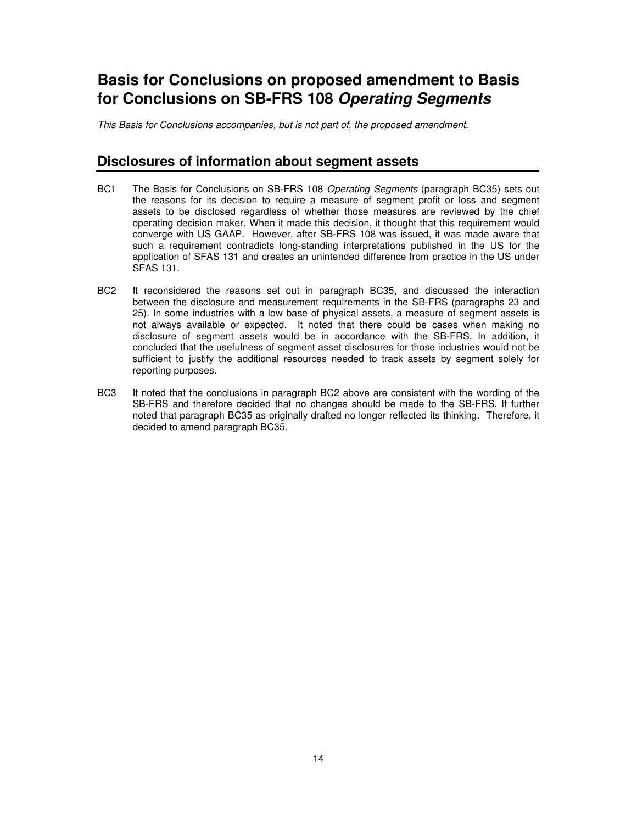# **Basis for Conclusions on proposed amendment to Basis for Conclusions on SB-FRS 108 Operating Segments**

This Basis for Conclusions accompanies, but is not part of, the proposed amendment.

### **Disclosures of information about segment assets**

- BC1 The Basis for Conclusions on SB-FRS 108 Operating Segments (paragraph BC35) sets out the reasons for its decision to require a measure of segment profit or loss and segment assets to be disclosed regardless of whether those measures are reviewed by the chief operating decision maker. When it made this decision, it thought that this requirement would converge with US GAAP. However, after SB-FRS 108 was issued, it was made aware that such a requirement contradicts long-standing interpretations published in the US for the application of SFAS 131 and creates an unintended difference from practice in the US under SFAS 131.
- BC2 It reconsidered the reasons set out in paragraph BC35, and discussed the interaction between the disclosure and measurement requirements in the SB-FRS (paragraphs 23 and 25). In some industries with a low base of physical assets, a measure of segment assets is not always available or expected. It noted that there could be cases when making no disclosure of segment assets would be in accordance with the SB-FRS. In addition, it concluded that the usefulness of segment asset disclosures for those industries would not be sufficient to justify the additional resources needed to track assets by segment solely for reporting purposes.
- BC3 It noted that the conclusions in paragraph BC2 above are consistent with the wording of the SB-FRS and therefore decided that no changes should be made to the SB-FRS. It further noted that paragraph BC35 as originally drafted no longer reflected its thinking. Therefore, it decided to amend paragraph BC35.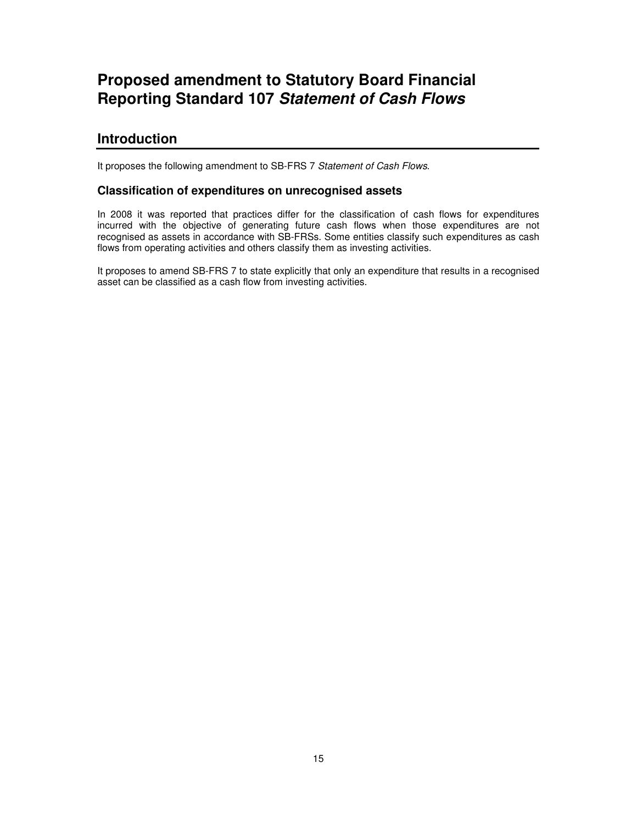# **Proposed amendment to Statutory Board Financial Reporting Standard 107 Statement of Cash Flows**

## **Introduction**

It proposes the following amendment to SB-FRS 7 Statement of Cash Flows.

#### **Classification of expenditures on unrecognised assets**

In 2008 it was reported that practices differ for the classification of cash flows for expenditures incurred with the objective of generating future cash flows when those expenditures are not recognised as assets in accordance with SB-FRSs. Some entities classify such expenditures as cash flows from operating activities and others classify them as investing activities.

It proposes to amend SB-FRS 7 to state explicitly that only an expenditure that results in a recognised asset can be classified as a cash flow from investing activities.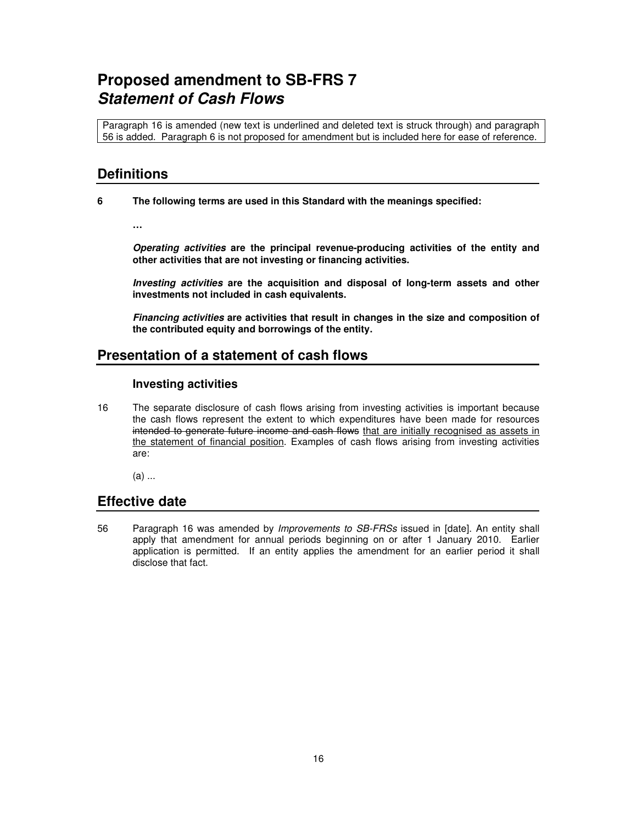# **Proposed amendment to SB-FRS 7 Statement of Cash Flows**

Paragraph 16 is amended (new text is underlined and deleted text is struck through) and paragraph 56 is added. Paragraph 6 is not proposed for amendment but is included here for ease of reference.

### **Definitions**

**6 The following terms are used in this Standard with the meanings specified:** 

**…** 

**Operating activities are the principal revenue-producing activities of the entity and other activities that are not investing or financing activities.** 

**Investing activities are the acquisition and disposal of long-term assets and other investments not included in cash equivalents.** 

**Financing activities are activities that result in changes in the size and composition of the contributed equity and borrowings of the entity.** 

### **Presentation of a statement of cash flows**

#### **Investing activities**

16 The separate disclosure of cash flows arising from investing activities is important because the cash flows represent the extent to which expenditures have been made for resources intended to generate future income and cash flows that are initially recognised as assets in the statement of financial position. Examples of cash flows arising from investing activities are:

(a) ...

## **Effective date**

56 Paragraph 16 was amended by *Improvements to SB-FRSs* issued in [date]. An entity shall apply that amendment for annual periods beginning on or after 1 January 2010. Earlier application is permitted. If an entity applies the amendment for an earlier period it shall disclose that fact.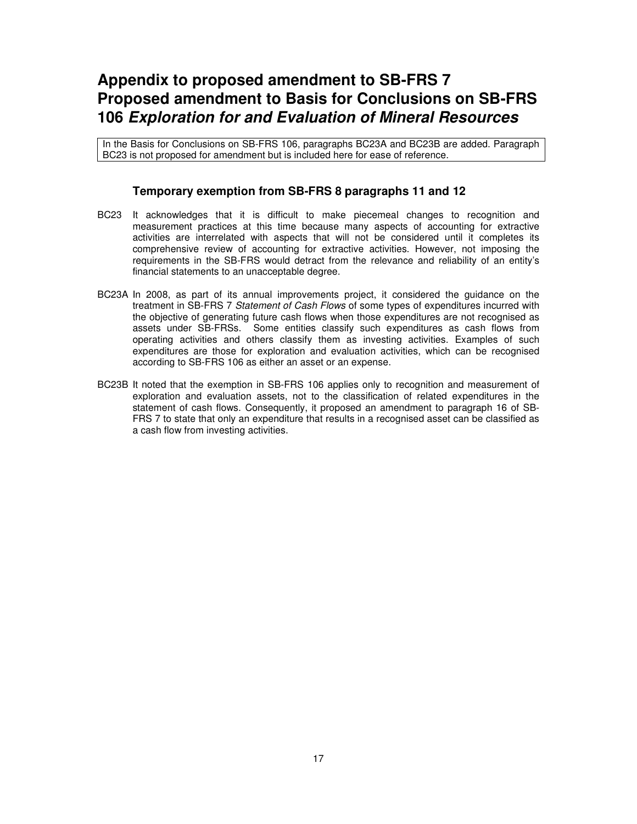# **Appendix to proposed amendment to SB-FRS 7 Proposed amendment to Basis for Conclusions on SB-FRS 106 Exploration for and Evaluation of Mineral Resources**

In the Basis for Conclusions on SB-FRS 106, paragraphs BC23A and BC23B are added. Paragraph BC23 is not proposed for amendment but is included here for ease of reference.

#### **Temporary exemption from SB-FRS 8 paragraphs 11 and 12**

- BC23 It acknowledges that it is difficult to make piecemeal changes to recognition and measurement practices at this time because many aspects of accounting for extractive activities are interrelated with aspects that will not be considered until it completes its comprehensive review of accounting for extractive activities. However, not imposing the requirements in the SB-FRS would detract from the relevance and reliability of an entity's financial statements to an unacceptable degree.
- BC23A In 2008, as part of its annual improvements project, it considered the guidance on the treatment in SB-FRS 7 Statement of Cash Flows of some types of expenditures incurred with the objective of generating future cash flows when those expenditures are not recognised as assets under SB-FRSs. Some entities classify such expenditures as cash flows from operating activities and others classify them as investing activities. Examples of such expenditures are those for exploration and evaluation activities, which can be recognised according to SB-FRS 106 as either an asset or an expense.
- BC23B It noted that the exemption in SB-FRS 106 applies only to recognition and measurement of exploration and evaluation assets, not to the classification of related expenditures in the statement of cash flows. Consequently, it proposed an amendment to paragraph 16 of SB-FRS 7 to state that only an expenditure that results in a recognised asset can be classified as a cash flow from investing activities.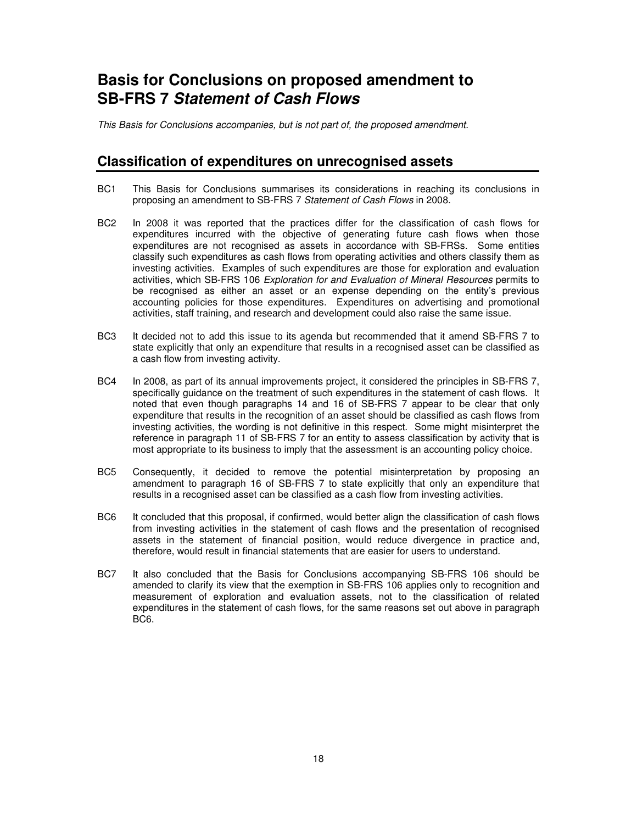# **Basis for Conclusions on proposed amendment to SB-FRS 7 Statement of Cash Flows**

This Basis for Conclusions accompanies, but is not part of, the proposed amendment.

### **Classification of expenditures on unrecognised assets**

- BC1 This Basis for Conclusions summarises its considerations in reaching its conclusions in proposing an amendment to SB-FRS 7 Statement of Cash Flows in 2008.
- BC2 In 2008 it was reported that the practices differ for the classification of cash flows for expenditures incurred with the objective of generating future cash flows when those expenditures are not recognised as assets in accordance with SB-FRSs. Some entities classify such expenditures as cash flows from operating activities and others classify them as investing activities. Examples of such expenditures are those for exploration and evaluation activities, which SB-FRS 106 Exploration for and Evaluation of Mineral Resources permits to be recognised as either an asset or an expense depending on the entity's previous accounting policies for those expenditures. Expenditures on advertising and promotional activities, staff training, and research and development could also raise the same issue.
- BC3 It decided not to add this issue to its agenda but recommended that it amend SB-FRS 7 to state explicitly that only an expenditure that results in a recognised asset can be classified as a cash flow from investing activity.
- BC4 In 2008, as part of its annual improvements project, it considered the principles in SB-FRS 7, specifically guidance on the treatment of such expenditures in the statement of cash flows. It noted that even though paragraphs 14 and 16 of SB-FRS 7 appear to be clear that only expenditure that results in the recognition of an asset should be classified as cash flows from investing activities, the wording is not definitive in this respect. Some might misinterpret the reference in paragraph 11 of SB-FRS 7 for an entity to assess classification by activity that is most appropriate to its business to imply that the assessment is an accounting policy choice.
- BC5 Consequently, it decided to remove the potential misinterpretation by proposing an amendment to paragraph 16 of SB-FRS 7 to state explicitly that only an expenditure that results in a recognised asset can be classified as a cash flow from investing activities.
- BC6 It concluded that this proposal, if confirmed, would better align the classification of cash flows from investing activities in the statement of cash flows and the presentation of recognised assets in the statement of financial position, would reduce divergence in practice and, therefore, would result in financial statements that are easier for users to understand.
- BC7 It also concluded that the Basis for Conclusions accompanying SB-FRS 106 should be amended to clarify its view that the exemption in SB-FRS 106 applies only to recognition and measurement of exploration and evaluation assets, not to the classification of related expenditures in the statement of cash flows, for the same reasons set out above in paragraph BC6.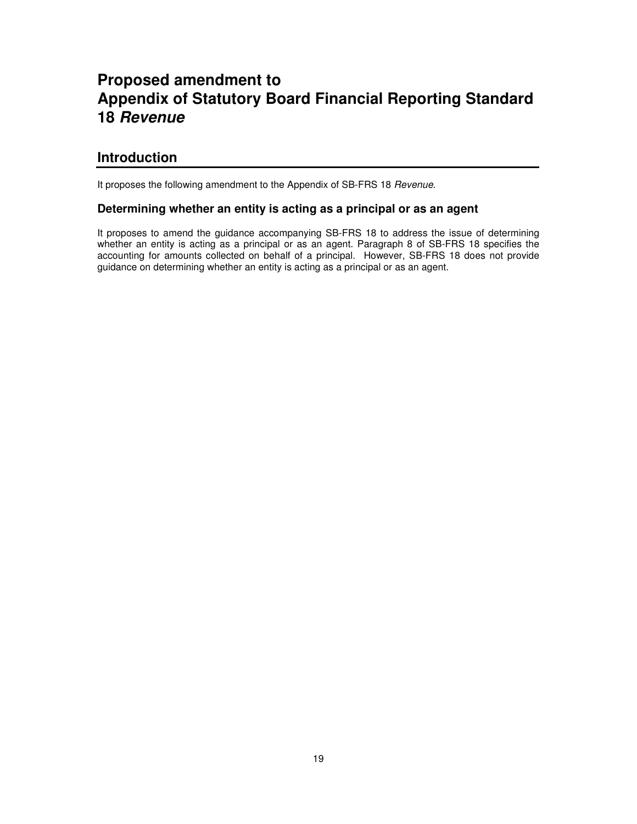# **Proposed amendment to Appendix of Statutory Board Financial Reporting Standard 18 Revenue**

### **Introduction**

It proposes the following amendment to the Appendix of SB-FRS 18 Revenue.

#### **Determining whether an entity is acting as a principal or as an agent**

It proposes to amend the guidance accompanying SB-FRS 18 to address the issue of determining whether an entity is acting as a principal or as an agent. Paragraph 8 of SB-FRS 18 specifies the accounting for amounts collected on behalf of a principal. However, SB-FRS 18 does not provide guidance on determining whether an entity is acting as a principal or as an agent.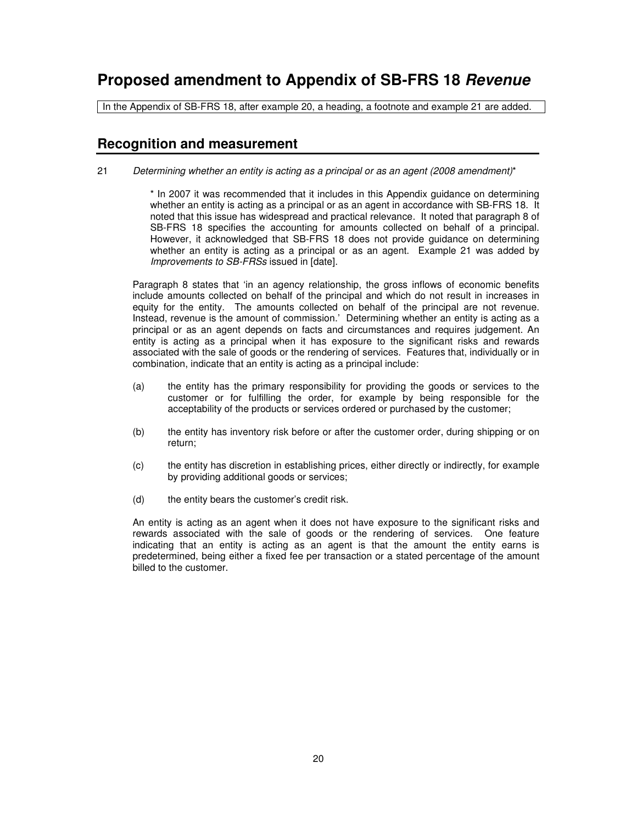# **Proposed amendment to Appendix of SB-FRS 18 Revenue**

In the Appendix of SB-FRS 18, after example 20, a heading, a footnote and example 21 are added.

### **Recognition and measurement**

21 Determining whether an entity is acting as a principal or as an agent (2008 amendment)\*

\* In 2007 it was recommended that it includes in this Appendix guidance on determining whether an entity is acting as a principal or as an agent in accordance with SB-FRS 18. It noted that this issue has widespread and practical relevance. It noted that paragraph 8 of SB-FRS 18 specifies the accounting for amounts collected on behalf of a principal. However, it acknowledged that SB-FRS 18 does not provide guidance on determining whether an entity is acting as a principal or as an agent. Example 21 was added by Improvements to SB-FRSs issued in [date].

Paragraph 8 states that 'in an agency relationship, the gross inflows of economic benefits include amounts collected on behalf of the principal and which do not result in increases in equity for the entity. The amounts collected on behalf of the principal are not revenue. Instead, revenue is the amount of commission.' Determining whether an entity is acting as a principal or as an agent depends on facts and circumstances and requires judgement. An entity is acting as a principal when it has exposure to the significant risks and rewards associated with the sale of goods or the rendering of services. Features that, individually or in combination, indicate that an entity is acting as a principal include:

- (a) the entity has the primary responsibility for providing the goods or services to the customer or for fulfilling the order, for example by being responsible for the acceptability of the products or services ordered or purchased by the customer;
- (b) the entity has inventory risk before or after the customer order, during shipping or on return;
- (c) the entity has discretion in establishing prices, either directly or indirectly, for example by providing additional goods or services;
- (d) the entity bears the customer's credit risk.

An entity is acting as an agent when it does not have exposure to the significant risks and rewards associated with the sale of goods or the rendering of services. One feature indicating that an entity is acting as an agent is that the amount the entity earns is predetermined, being either a fixed fee per transaction or a stated percentage of the amount billed to the customer.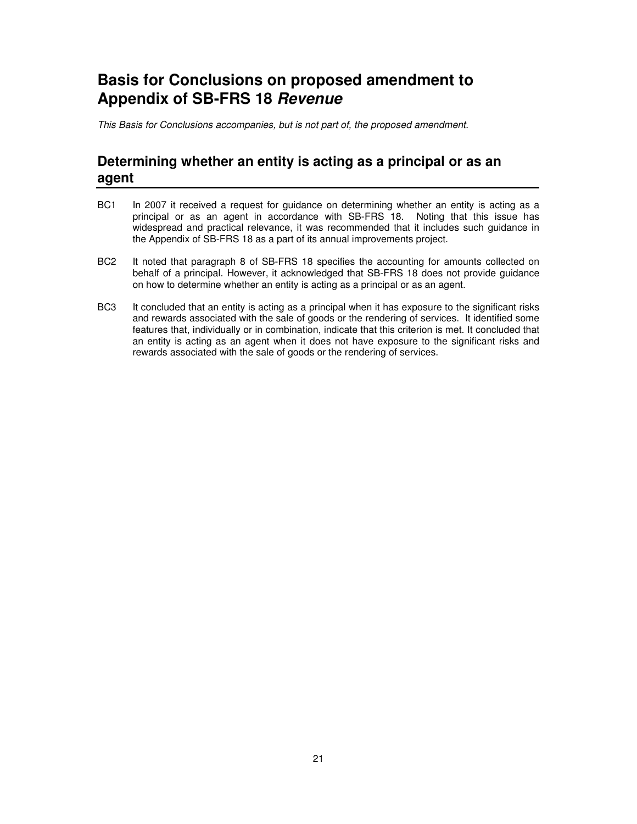# **Basis for Conclusions on proposed amendment to Appendix of SB-FRS 18 Revenue**

This Basis for Conclusions accompanies, but is not part of, the proposed amendment.

# **Determining whether an entity is acting as a principal or as an agent**

- BC1 In 2007 it received a request for guidance on determining whether an entity is acting as a principal or as an agent in accordance with SB-FRS 18. Noting that this issue has widespread and practical relevance, it was recommended that it includes such guidance in the Appendix of SB-FRS 18 as a part of its annual improvements project.
- BC2 It noted that paragraph 8 of SB-FRS 18 specifies the accounting for amounts collected on behalf of a principal. However, it acknowledged that SB-FRS 18 does not provide guidance on how to determine whether an entity is acting as a principal or as an agent.
- BC3 It concluded that an entity is acting as a principal when it has exposure to the significant risks and rewards associated with the sale of goods or the rendering of services. It identified some features that, individually or in combination, indicate that this criterion is met. It concluded that an entity is acting as an agent when it does not have exposure to the significant risks and rewards associated with the sale of goods or the rendering of services.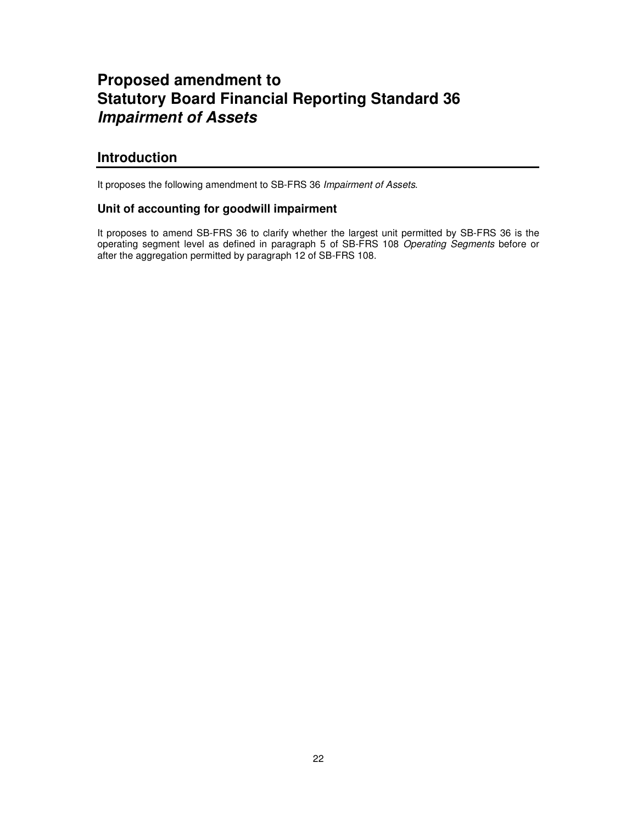# **Proposed amendment to Statutory Board Financial Reporting Standard 36 Impairment of Assets**

### **Introduction**

It proposes the following amendment to SB-FRS 36 Impairment of Assets.

#### **Unit of accounting for goodwill impairment**

It proposes to amend SB-FRS 36 to clarify whether the largest unit permitted by SB-FRS 36 is the operating segment level as defined in paragraph 5 of SB-FRS 108 Operating Segments before or after the aggregation permitted by paragraph 12 of SB-FRS 108.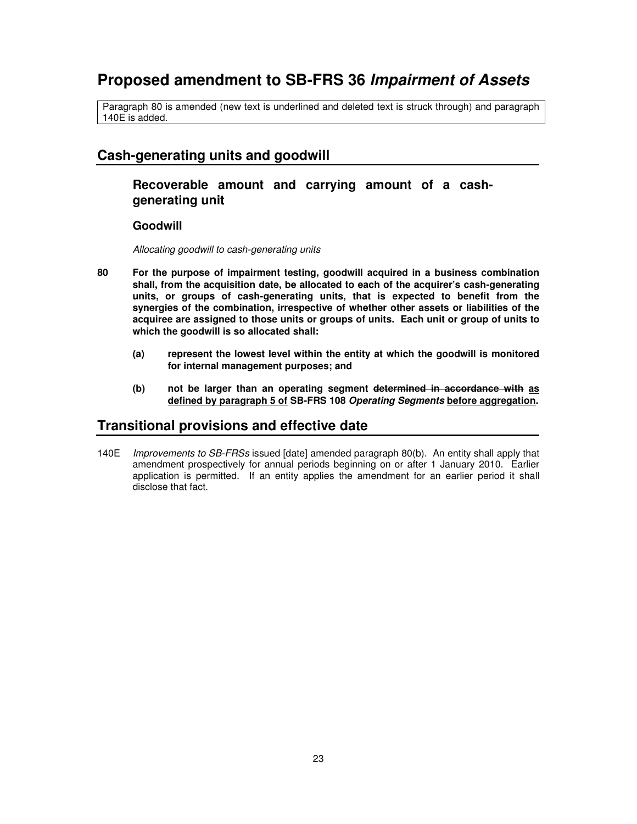# **Proposed amendment to SB-FRS 36 Impairment of Assets**

Paragraph 80 is amended (new text is underlined and deleted text is struck through) and paragraph 140E is added.

## **Cash-generating units and goodwill**

### **Recoverable amount and carrying amount of a cashgenerating unit**

#### **Goodwill**

Allocating goodwill to cash-generating units

- **80 For the purpose of impairment testing, goodwill acquired in a business combination shall, from the acquisition date, be allocated to each of the acquirer's cash-generating units, or groups of cash-generating units, that is expected to benefit from the synergies of the combination, irrespective of whether other assets or liabilities of the acquiree are assigned to those units or groups of units. Each unit or group of units to which the goodwill is so allocated shall:** 
	- **(a) represent the lowest level within the entity at which the goodwill is monitored for internal management purposes; and**
	- **(b) not be larger than an operating segment determined in accordance with as defined by paragraph 5 of SB-FRS 108 Operating Segments before aggregation.**

### **Transitional provisions and effective date**

140E *Improvements to SB-FRSs* issued [date] amended paragraph 80(b). An entity shall apply that amendment prospectively for annual periods beginning on or after 1 January 2010. Earlier application is permitted. If an entity applies the amendment for an earlier period it shall disclose that fact.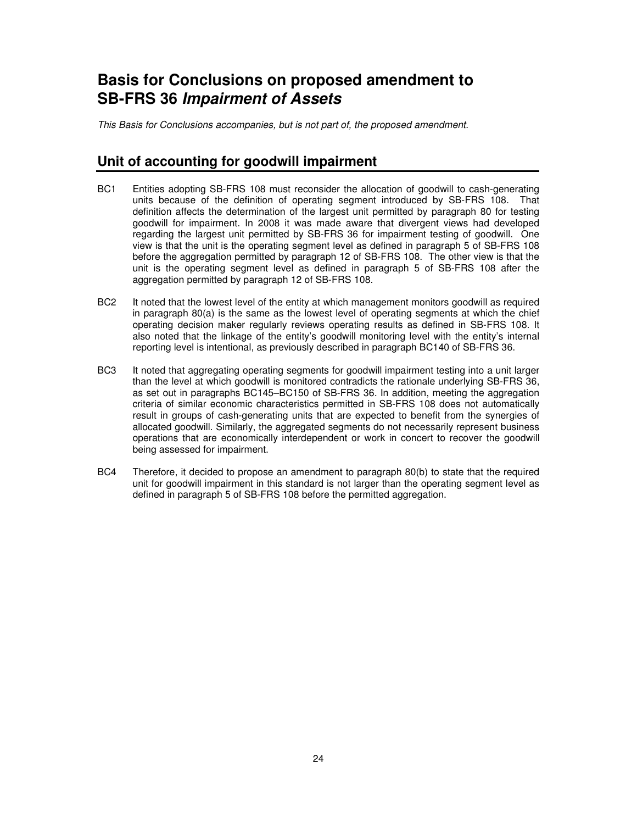# **Basis for Conclusions on proposed amendment to SB-FRS 36 Impairment of Assets**

This Basis for Conclusions accompanies, but is not part of, the proposed amendment.

# **Unit of accounting for goodwill impairment**

- BC1 Entities adopting SB-FRS 108 must reconsider the allocation of goodwill to cash-generating units because of the definition of operating segment introduced by SB-FRS 108. That definition affects the determination of the largest unit permitted by paragraph 80 for testing goodwill for impairment. In 2008 it was made aware that divergent views had developed regarding the largest unit permitted by SB-FRS 36 for impairment testing of goodwill. One view is that the unit is the operating segment level as defined in paragraph 5 of SB-FRS 108 before the aggregation permitted by paragraph 12 of SB-FRS 108. The other view is that the unit is the operating segment level as defined in paragraph 5 of SB-FRS 108 after the aggregation permitted by paragraph 12 of SB-FRS 108.
- BC2 It noted that the lowest level of the entity at which management monitors goodwill as required in paragraph 80(a) is the same as the lowest level of operating segments at which the chief operating decision maker regularly reviews operating results as defined in SB-FRS 108. It also noted that the linkage of the entity's goodwill monitoring level with the entity's internal reporting level is intentional, as previously described in paragraph BC140 of SB-FRS 36.
- BC3 It noted that aggregating operating segments for goodwill impairment testing into a unit larger than the level at which goodwill is monitored contradicts the rationale underlying SB-FRS 36, as set out in paragraphs BC145–BC150 of SB-FRS 36. In addition, meeting the aggregation criteria of similar economic characteristics permitted in SB-FRS 108 does not automatically result in groups of cash-generating units that are expected to benefit from the synergies of allocated goodwill. Similarly, the aggregated segments do not necessarily represent business operations that are economically interdependent or work in concert to recover the goodwill being assessed for impairment.
- BC4 Therefore, it decided to propose an amendment to paragraph 80(b) to state that the required unit for goodwill impairment in this standard is not larger than the operating segment level as defined in paragraph 5 of SB-FRS 108 before the permitted aggregation.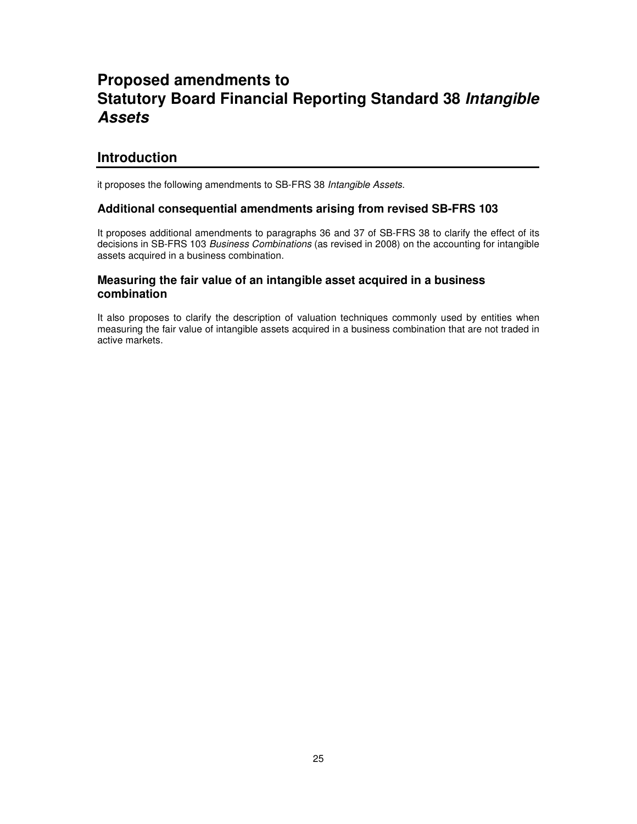# **Proposed amendments to Statutory Board Financial Reporting Standard 38 Intangible Assets**

### **Introduction**

it proposes the following amendments to SB-FRS 38 Intangible Assets.

#### **Additional consequential amendments arising from revised SB-FRS 103**

It proposes additional amendments to paragraphs 36 and 37 of SB-FRS 38 to clarify the effect of its decisions in SB-FRS 103 Business Combinations (as revised in 2008) on the accounting for intangible assets acquired in a business combination.

#### **Measuring the fair value of an intangible asset acquired in a business combination**

It also proposes to clarify the description of valuation techniques commonly used by entities when measuring the fair value of intangible assets acquired in a business combination that are not traded in active markets.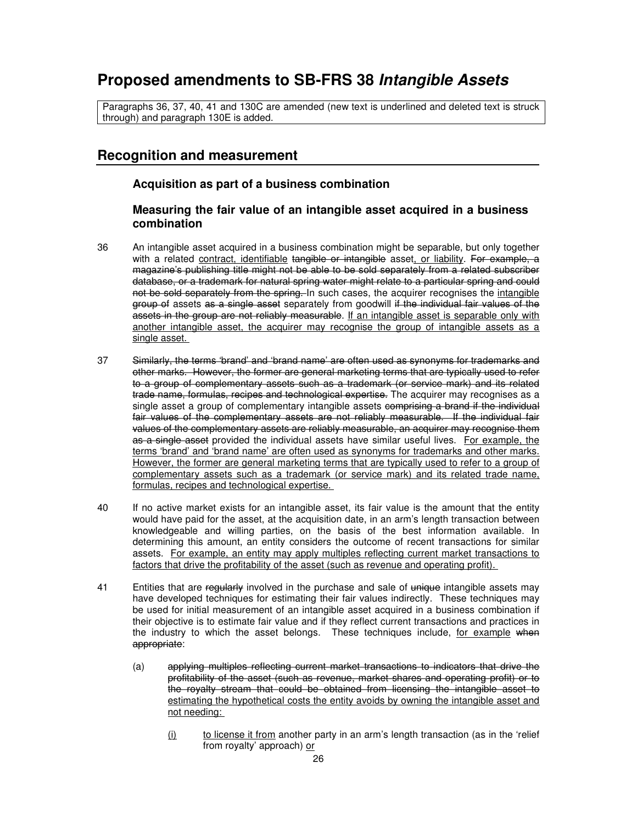# **Proposed amendments to SB-FRS 38 Intangible Assets**

Paragraphs 36, 37, 40, 41 and 130C are amended (new text is underlined and deleted text is struck through) and paragraph 130E is added.

## **Recognition and measurement**

#### **Acquisition as part of a business combination**

#### **Measuring the fair value of an intangible asset acquired in a business combination**

- 36 An intangible asset acquired in a business combination might be separable, but only together with a related contract, identifiable tangible or intangible asset, or liability. For example, a magazine's publishing title might not be able to be sold separately from a related subscriber database, or a trademark for natural spring water might relate to a particular spring and could not be sold separately from the spring. In such cases, the acquirer recognises the intangible group of assets as a single asset separately from goodwill if the individual fair values of the assets in the group are not reliably measurable. If an intangible asset is separable only with another intangible asset, the acquirer may recognise the group of intangible assets as a single asset.
- 37 Similarly, the terms 'brand' and 'brand name' are often used as synonyms for trademarks and other marks. However, the former are general marketing terms that are typically used to refer to a group of complementary assets such as a trademark (or service mark) and its related trade name, formulas, recipes and technological expertise. The acquirer may recognises as a single asset a group of complementary intangible assets comprising a brand if the individual fair values of the complementary assets are not reliably measurable. If the individual fair values of the complementary assets are reliably measurable, an acquirer may recognise them as a single asset provided the individual assets have similar useful lives. For example, the terms 'brand' and 'brand name' are often used as synonyms for trademarks and other marks. However, the former are general marketing terms that are typically used to refer to a group of complementary assets such as a trademark (or service mark) and its related trade name, formulas, recipes and technological expertise.
- 40 If no active market exists for an intangible asset, its fair value is the amount that the entity would have paid for the asset, at the acquisition date, in an arm's length transaction between knowledgeable and willing parties, on the basis of the best information available. In determining this amount, an entity considers the outcome of recent transactions for similar assets. For example, an entity may apply multiples reflecting current market transactions to factors that drive the profitability of the asset (such as revenue and operating profit).
- 41 Entities that are regularly involved in the purchase and sale of unique intangible assets may have developed techniques for estimating their fair values indirectly. These techniques may be used for initial measurement of an intangible asset acquired in a business combination if their objective is to estimate fair value and if they reflect current transactions and practices in the industry to which the asset belongs. These techniques include, for example when appropriate:
	- (a) applying multiples reflecting current market transactions to indicators that drive the profitability of the asset (such as revenue, market shares and operating profit) or to the royalty stream that could be obtained from licensing the intangible asset to estimating the hypothetical costs the entity avoids by owning the intangible asset and not needing:
		- $(i)$  to license it from another party in an arm's length transaction (as in the 'relief from royalty' approach) or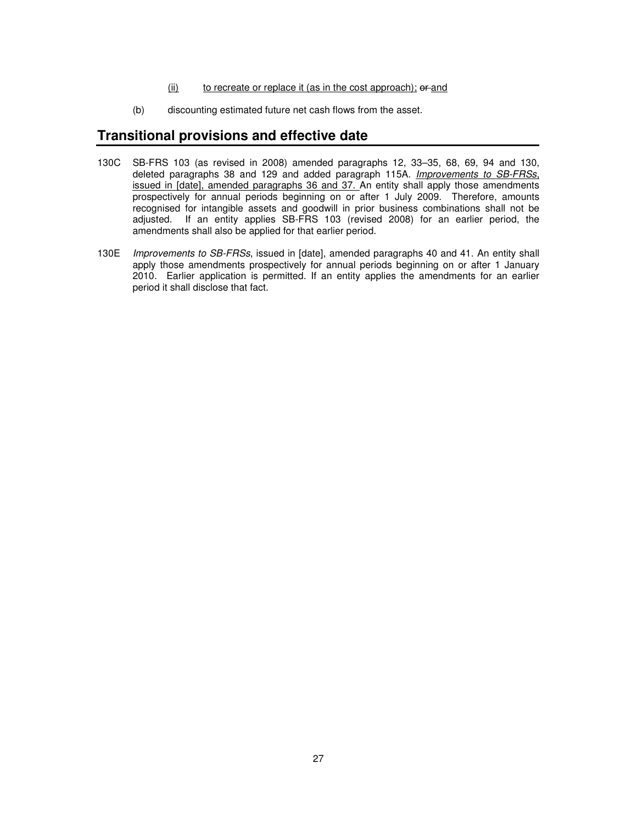- (ii) to recreate or replace it (as in the cost approach);  $\theta$  and
- (b) discounting estimated future net cash flows from the asset.

#### **Transitional provisions and effective date**

- 130C SB-FRS 103 (as revised in 2008) amended paragraphs 12, 33–35, 68, 69, 94 and 130, deleted paragraphs 38 and 129 and added paragraph 115A. Improvements to SB-FRSs. issued in [date], amended paragraphs 36 and 37. An entity shall apply those amendments prospectively for annual periods beginning on or after 1 July 2009. Therefore, amounts recognised for intangible assets and goodwill in prior business combinations shall not be adjusted. If an entity applies SB-FRS 103 (revised 2008) for an earlier period, the amendments shall also be applied for that earlier period.
- 130E Improvements to SB-FRSs, issued in [date], amended paragraphs 40 and 41. An entity shall apply those amendments prospectively for annual periods beginning on or after 1 January 2010. Earlier application is permitted. If an entity applies the amendments for an earlier period it shall disclose that fact.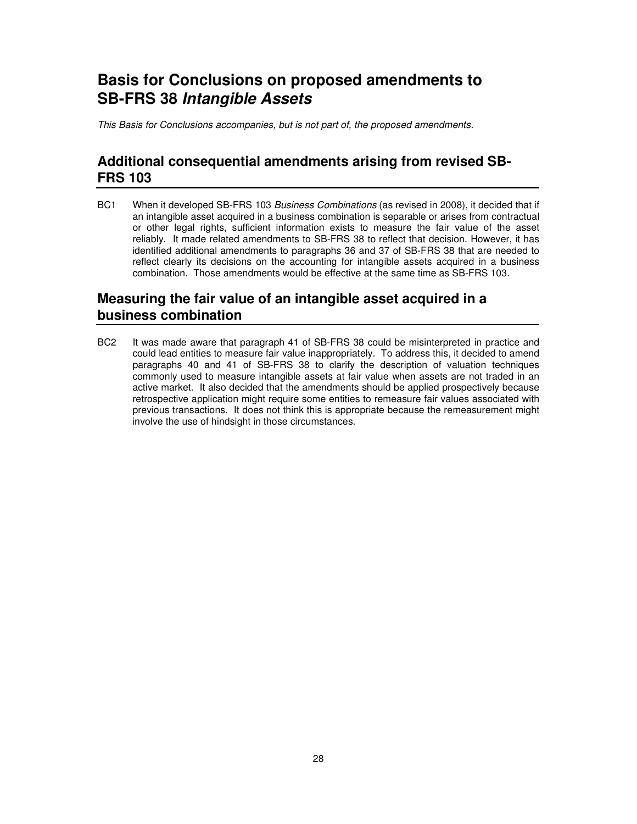# **Basis for Conclusions on proposed amendments to SB-FRS 38 Intangible Assets**

This Basis for Conclusions accompanies, but is not part of, the proposed amendments.

# **Additional consequential amendments arising from revised SB-FRS 103**

BC1 When it developed SB-FRS 103 Business Combinations (as revised in 2008), it decided that if an intangible asset acquired in a business combination is separable or arises from contractual or other legal rights, sufficient information exists to measure the fair value of the asset reliably. It made related amendments to SB-FRS 38 to reflect that decision. However, it has identified additional amendments to paragraphs 36 and 37 of SB-FRS 38 that are needed to reflect clearly its decisions on the accounting for intangible assets acquired in a business combination. Those amendments would be effective at the same time as SB-FRS 103.

# **Measuring the fair value of an intangible asset acquired in a business combination**

BC2 It was made aware that paragraph 41 of SB-FRS 38 could be misinterpreted in practice and could lead entities to measure fair value inappropriately. To address this, it decided to amend paragraphs 40 and 41 of SB-FRS 38 to clarify the description of valuation techniques commonly used to measure intangible assets at fair value when assets are not traded in an active market. It also decided that the amendments should be applied prospectively because retrospective application might require some entities to remeasure fair values associated with previous transactions. It does not think this is appropriate because the remeasurement might involve the use of hindsight in those circumstances.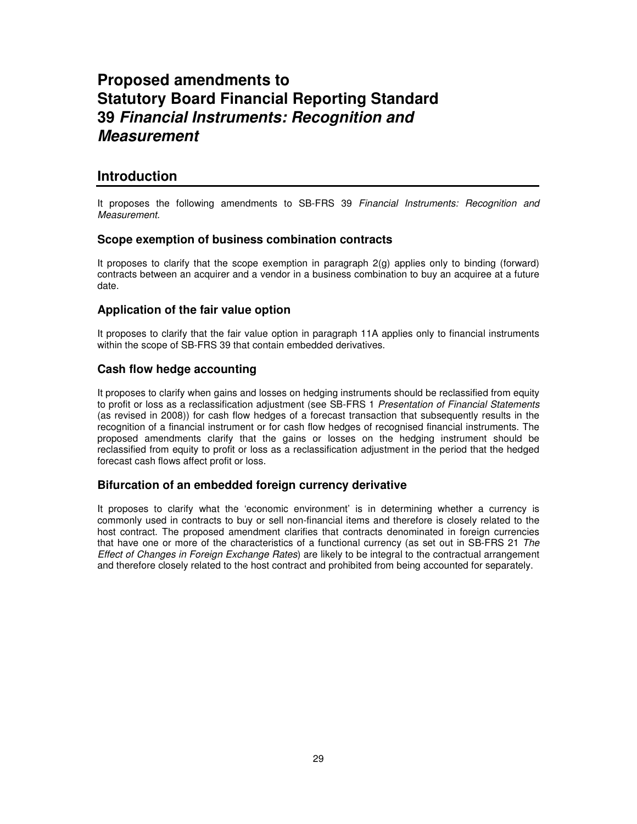# **Proposed amendments to Statutory Board Financial Reporting Standard 39 Financial Instruments: Recognition and Measurement**

### **Introduction**

It proposes the following amendments to SB-FRS 39 Financial Instruments: Recognition and Measurement.

#### **Scope exemption of business combination contracts**

It proposes to clarify that the scope exemption in paragraph 2(g) applies only to binding (forward) contracts between an acquirer and a vendor in a business combination to buy an acquiree at a future date.

#### **Application of the fair value option**

It proposes to clarify that the fair value option in paragraph 11A applies only to financial instruments within the scope of SB-FRS 39 that contain embedded derivatives.

#### **Cash flow hedge accounting**

It proposes to clarify when gains and losses on hedging instruments should be reclassified from equity to profit or loss as a reclassification adjustment (see SB-FRS 1 Presentation of Financial Statements (as revised in 2008)) for cash flow hedges of a forecast transaction that subsequently results in the recognition of a financial instrument or for cash flow hedges of recognised financial instruments. The proposed amendments clarify that the gains or losses on the hedging instrument should be reclassified from equity to profit or loss as a reclassification adjustment in the period that the hedged forecast cash flows affect profit or loss.

#### **Bifurcation of an embedded foreign currency derivative**

It proposes to clarify what the 'economic environment' is in determining whether a currency is commonly used in contracts to buy or sell non-financial items and therefore is closely related to the host contract. The proposed amendment clarifies that contracts denominated in foreign currencies that have one or more of the characteristics of a functional currency (as set out in SB-FRS 21 The Effect of Changes in Foreign Exchange Rates) are likely to be integral to the contractual arrangement and therefore closely related to the host contract and prohibited from being accounted for separately.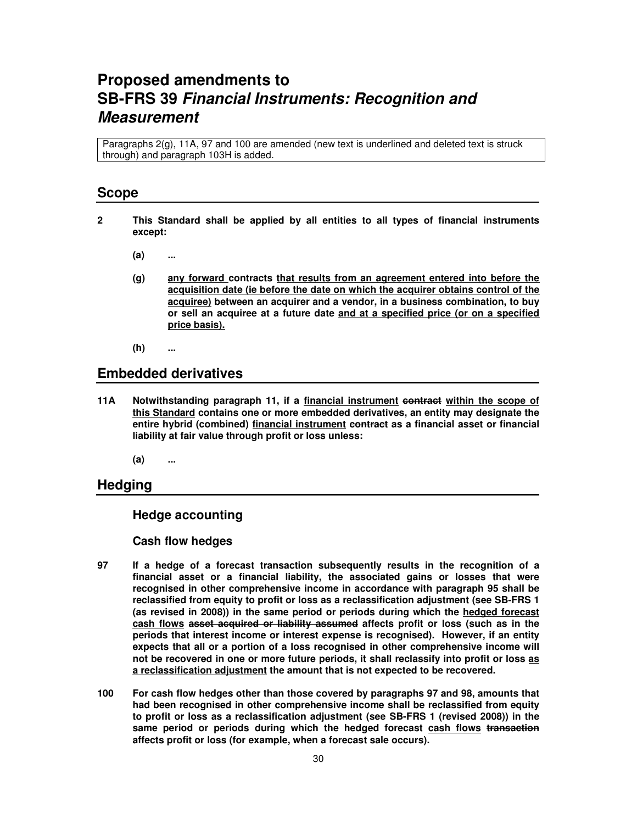# **Proposed amendments to SB-FRS 39 Financial Instruments: Recognition and Measurement**

Paragraphs 2(g), 11A, 97 and 100 are amended (new text is underlined and deleted text is struck through) and paragraph 103H is added.

### **Scope**

- **2 This Standard shall be applied by all entities to all types of financial instruments except:** 
	- **(a) ...**
	- **(g) any forward contracts that results from an agreement entered into before the acquisition date (ie before the date on which the acquirer obtains control of the acquiree) between an acquirer and a vendor, in a business combination, to buy or sell an acquiree at a future date and at a specified price (or on a specified price basis).**
	- **(h) ...**

#### **Embedded derivatives**

- **11A Notwithstanding paragraph 11, if a financial instrument contract within the scope of this Standard contains one or more embedded derivatives, an entity may designate the**  entire hybrid (combined) financial instrument eontract as a financial asset or financial **liability at fair value through profit or loss unless:** 
	- **(a) ...**

#### **Hedging**

#### **Hedge accounting**

**Cash flow hedges** 

- **97 If a hedge of a forecast transaction subsequently results in the recognition of a financial asset or a financial liability, the associated gains or losses that were recognised in other comprehensive income in accordance with paragraph 95 shall be reclassified from equity to profit or loss as a reclassification adjustment (see SB-FRS 1 (as revised in 2008)) in the same period or periods during which the hedged forecast cash flows asset acquired or liability assumed affects profit or loss (such as in the periods that interest income or interest expense is recognised). However, if an entity expects that all or a portion of a loss recognised in other comprehensive income will not be recovered in one or more future periods, it shall reclassify into profit or loss as a reclassification adjustment the amount that is not expected to be recovered.**
- **100 For cash flow hedges other than those covered by paragraphs 97 and 98, amounts that had been recognised in other comprehensive income shall be reclassified from equity to profit or loss as a reclassification adjustment (see SB-FRS 1 (revised 2008)) in the same period or periods during which the hedged forecast cash flows transaction affects profit or loss (for example, when a forecast sale occurs).**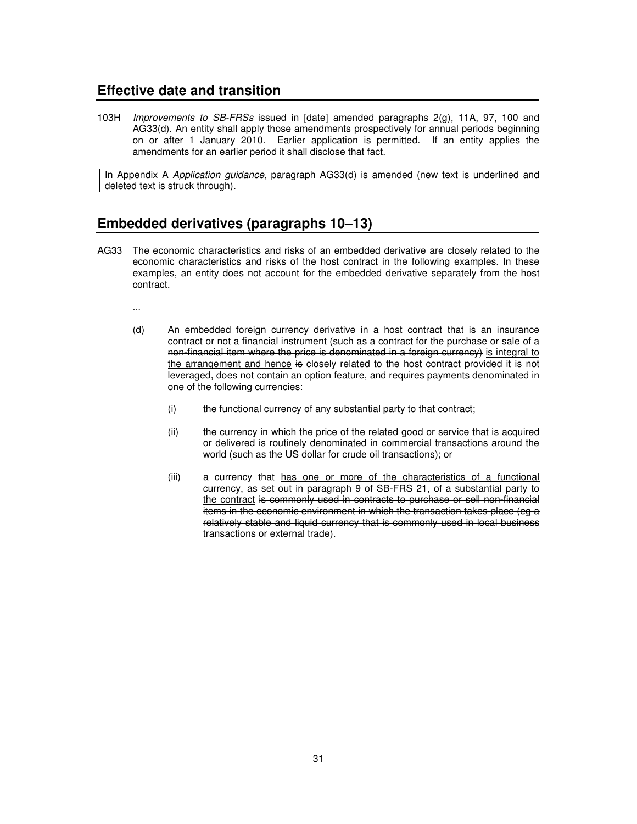## **Effective date and transition**

103H *Improvements to SB-FRSs* issued in [date] amended paragraphs  $2(q)$ , 11A, 97, 100 and AG33(d). An entity shall apply those amendments prospectively for annual periods beginning on or after 1 January 2010. Earlier application is permitted. If an entity applies the amendments for an earlier period it shall disclose that fact.

In Appendix A Application guidance, paragraph AG33(d) is amended (new text is underlined and deleted text is struck through).

### **Embedded derivatives (paragraphs 10–13)**

- AG33 The economic characteristics and risks of an embedded derivative are closely related to the economic characteristics and risks of the host contract in the following examples. In these examples, an entity does not account for the embedded derivative separately from the host contract.
	- ...
	- (d) An embedded foreign currency derivative in a host contract that is an insurance contract or not a financial instrument (such as a contract for the purchase or sale of a non-financial item where the price is denominated in a foreign currency) is integral to the arrangement and hence is closely related to the host contract provided it is not leveraged, does not contain an option feature, and requires payments denominated in one of the following currencies:
		- (i) the functional currency of any substantial party to that contract;
		- (ii) the currency in which the price of the related good or service that is acquired or delivered is routinely denominated in commercial transactions around the world (such as the US dollar for crude oil transactions); or
		- (iii) a currency that has one or more of the characteristics of a functional currency, as set out in paragraph 9 of SB-FRS 21, of a substantial party to the contract is commonly used in contracts to purchase or sell non-financial items in the economic environment in which the transaction takes place (eg a relatively stable and liquid currency that is commonly used in local business transactions or external trade).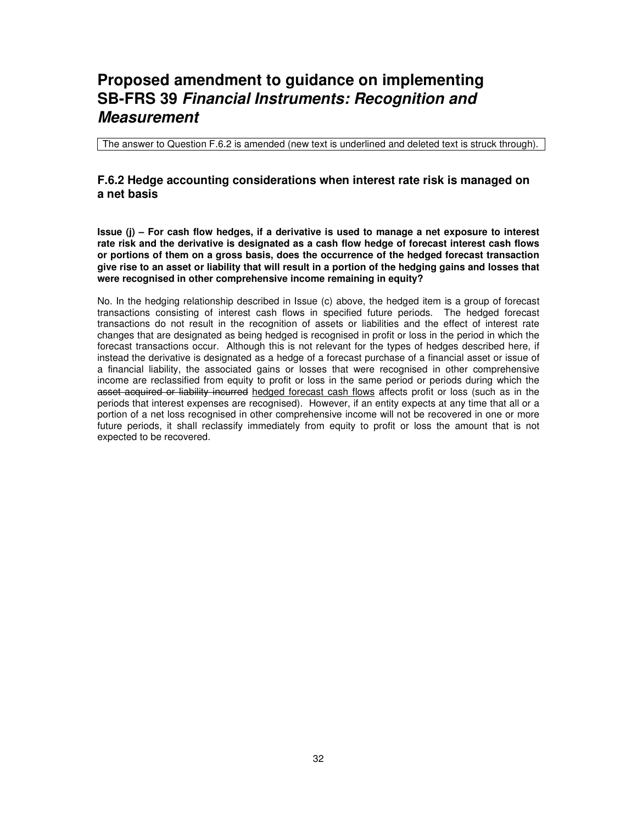# **Proposed amendment to guidance on implementing SB-FRS 39 Financial Instruments: Recognition and Measurement**

The answer to Question F.6.2 is amended (new text is underlined and deleted text is struck through).

#### **F.6.2 Hedge accounting considerations when interest rate risk is managed on a net basis**

**Issue (j) – For cash flow hedges, if a derivative is used to manage a net exposure to interest rate risk and the derivative is designated as a cash flow hedge of forecast interest cash flows or portions of them on a gross basis, does the occurrence of the hedged forecast transaction give rise to an asset or liability that will result in a portion of the hedging gains and losses that were recognised in other comprehensive income remaining in equity?** 

No. In the hedging relationship described in Issue (c) above, the hedged item is a group of forecast transactions consisting of interest cash flows in specified future periods. The hedged forecast transactions do not result in the recognition of assets or liabilities and the effect of interest rate changes that are designated as being hedged is recognised in profit or loss in the period in which the forecast transactions occur. Although this is not relevant for the types of hedges described here, if instead the derivative is designated as a hedge of a forecast purchase of a financial asset or issue of a financial liability, the associated gains or losses that were recognised in other comprehensive income are reclassified from equity to profit or loss in the same period or periods during which the asset acquired or liability incurred hedged forecast cash flows affects profit or loss (such as in the periods that interest expenses are recognised). However, if an entity expects at any time that all or a portion of a net loss recognised in other comprehensive income will not be recovered in one or more future periods, it shall reclassify immediately from equity to profit or loss the amount that is not expected to be recovered.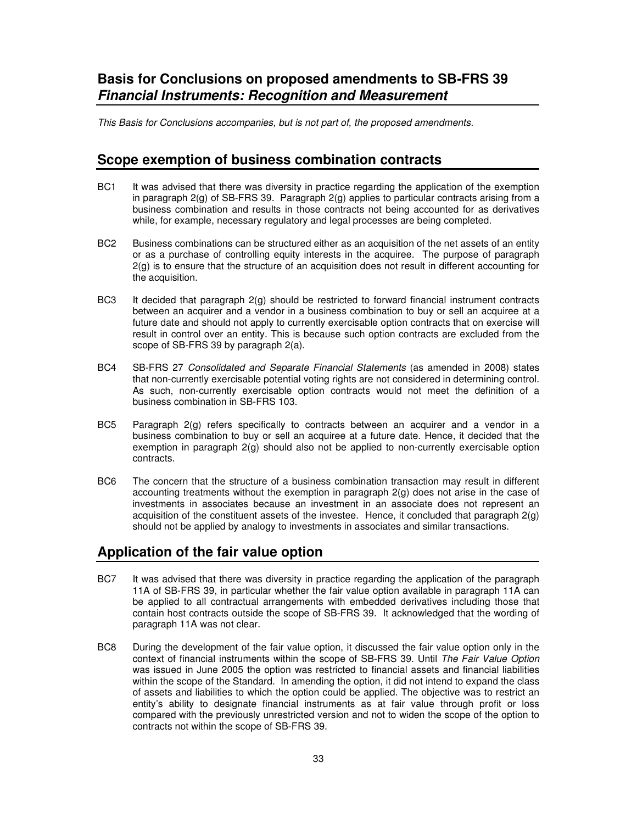# **Basis for Conclusions on proposed amendments to SB-FRS 39 Financial Instruments: Recognition and Measurement**

This Basis for Conclusions accompanies, but is not part of, the proposed amendments.

#### **Scope exemption of business combination contracts**

- BC1 It was advised that there was diversity in practice regarding the application of the exemption in paragraph 2(g) of SB-FRS 39. Paragraph 2(g) applies to particular contracts arising from a business combination and results in those contracts not being accounted for as derivatives while, for example, necessary regulatory and legal processes are being completed.
- BC2 Business combinations can be structured either as an acquisition of the net assets of an entity or as a purchase of controlling equity interests in the acquiree. The purpose of paragraph 2(g) is to ensure that the structure of an acquisition does not result in different accounting for the acquisition.
- BC3 It decided that paragraph 2(g) should be restricted to forward financial instrument contracts between an acquirer and a vendor in a business combination to buy or sell an acquiree at a future date and should not apply to currently exercisable option contracts that on exercise will result in control over an entity. This is because such option contracts are excluded from the scope of SB-FRS 39 by paragraph 2(a).
- BC4 SB-FRS 27 Consolidated and Separate Financial Statements (as amended in 2008) states that non-currently exercisable potential voting rights are not considered in determining control. As such, non-currently exercisable option contracts would not meet the definition of a business combination in SB-FRS 103.
- BC5 Paragraph 2(g) refers specifically to contracts between an acquirer and a vendor in a business combination to buy or sell an acquiree at a future date. Hence, it decided that the exemption in paragraph 2(g) should also not be applied to non-currently exercisable option contracts.
- BC6 The concern that the structure of a business combination transaction may result in different accounting treatments without the exemption in paragraph 2(g) does not arise in the case of investments in associates because an investment in an associate does not represent an acquisition of the constituent assets of the investee. Hence, it concluded that paragraph 2(g) should not be applied by analogy to investments in associates and similar transactions.

### **Application of the fair value option**

- BC7 It was advised that there was diversity in practice regarding the application of the paragraph 11A of SB-FRS 39, in particular whether the fair value option available in paragraph 11A can be applied to all contractual arrangements with embedded derivatives including those that contain host contracts outside the scope of SB-FRS 39. It acknowledged that the wording of paragraph 11A was not clear.
- BC8 During the development of the fair value option, it discussed the fair value option only in the context of financial instruments within the scope of SB-FRS 39. Until The Fair Value Option was issued in June 2005 the option was restricted to financial assets and financial liabilities within the scope of the Standard. In amending the option, it did not intend to expand the class of assets and liabilities to which the option could be applied. The objective was to restrict an entity's ability to designate financial instruments as at fair value through profit or loss compared with the previously unrestricted version and not to widen the scope of the option to contracts not within the scope of SB-FRS 39.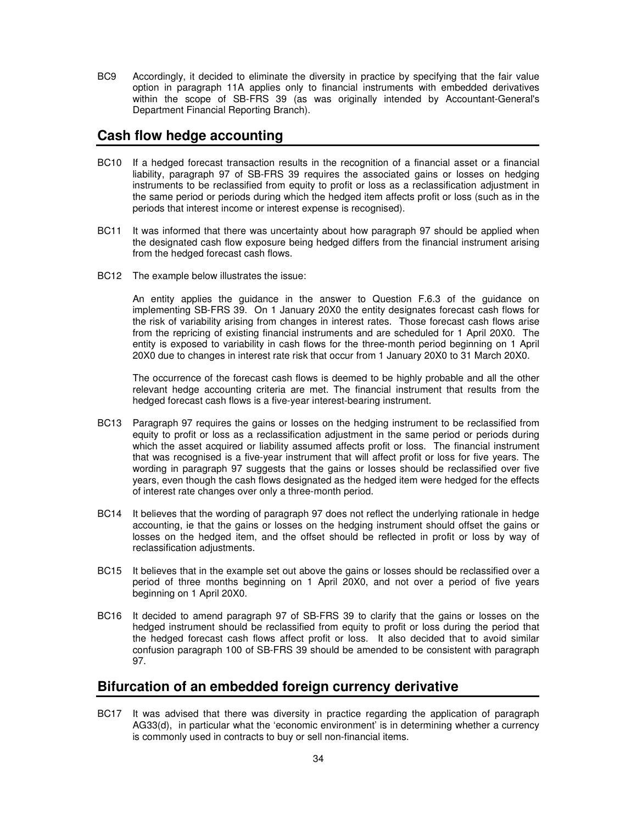BC9 Accordingly, it decided to eliminate the diversity in practice by specifying that the fair value option in paragraph 11A applies only to financial instruments with embedded derivatives within the scope of SB-FRS 39 (as was originally intended by Accountant-General's Department Financial Reporting Branch).

#### **Cash flow hedge accounting**

- BC10 If a hedged forecast transaction results in the recognition of a financial asset or a financial liability, paragraph 97 of SB-FRS 39 requires the associated gains or losses on hedging instruments to be reclassified from equity to profit or loss as a reclassification adjustment in the same period or periods during which the hedged item affects profit or loss (such as in the periods that interest income or interest expense is recognised).
- BC11 It was informed that there was uncertainty about how paragraph 97 should be applied when the designated cash flow exposure being hedged differs from the financial instrument arising from the hedged forecast cash flows.
- BC12 The example below illustrates the issue:

An entity applies the guidance in the answer to Question F.6.3 of the guidance on implementing SB-FRS 39. On 1 January 20X0 the entity designates forecast cash flows for the risk of variability arising from changes in interest rates. Those forecast cash flows arise from the repricing of existing financial instruments and are scheduled for 1 April 20X0. The entity is exposed to variability in cash flows for the three-month period beginning on 1 April 20X0 due to changes in interest rate risk that occur from 1 January 20X0 to 31 March 20X0.

The occurrence of the forecast cash flows is deemed to be highly probable and all the other relevant hedge accounting criteria are met. The financial instrument that results from the hedged forecast cash flows is a five-year interest-bearing instrument.

- BC13 Paragraph 97 requires the gains or losses on the hedging instrument to be reclassified from equity to profit or loss as a reclassification adjustment in the same period or periods during which the asset acquired or liability assumed affects profit or loss. The financial instrument that was recognised is a five-year instrument that will affect profit or loss for five years. The wording in paragraph 97 suggests that the gains or losses should be reclassified over five years, even though the cash flows designated as the hedged item were hedged for the effects of interest rate changes over only a three-month period.
- BC14 It believes that the wording of paragraph 97 does not reflect the underlying rationale in hedge accounting, ie that the gains or losses on the hedging instrument should offset the gains or losses on the hedged item, and the offset should be reflected in profit or loss by way of reclassification adjustments.
- BC15 It believes that in the example set out above the gains or losses should be reclassified over a period of three months beginning on 1 April 20X0, and not over a period of five years beginning on 1 April 20X0.
- BC16 It decided to amend paragraph 97 of SB-FRS 39 to clarify that the gains or losses on the hedged instrument should be reclassified from equity to profit or loss during the period that the hedged forecast cash flows affect profit or loss. It also decided that to avoid similar confusion paragraph 100 of SB-FRS 39 should be amended to be consistent with paragraph 97.

## **Bifurcation of an embedded foreign currency derivative**

BC17 It was advised that there was diversity in practice regarding the application of paragraph AG33(d), in particular what the 'economic environment' is in determining whether a currency is commonly used in contracts to buy or sell non-financial items.